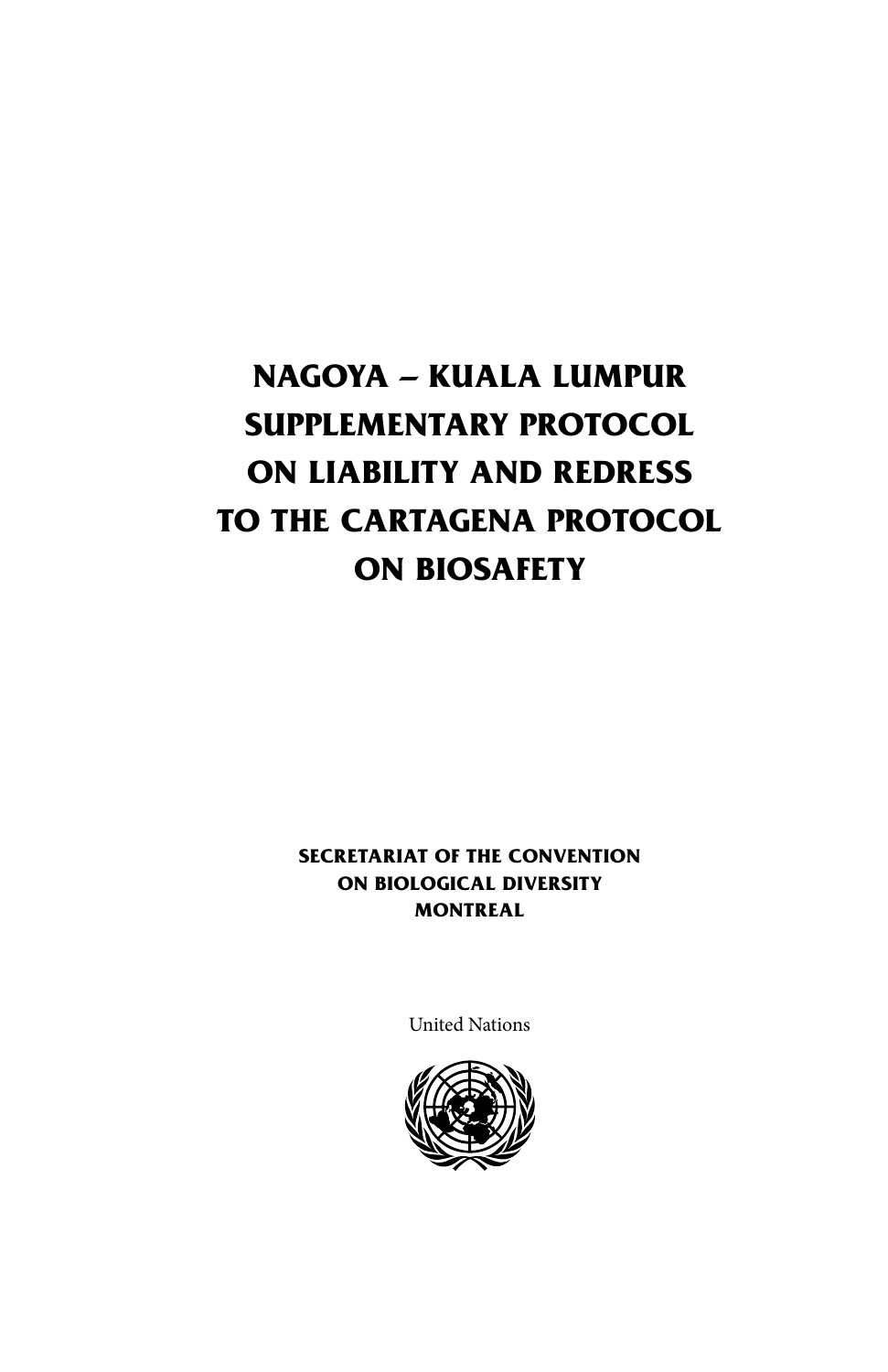# **NAGOYA – KUALA LUMPUR SUPPLEMENTARY PROTOCOL ON LIABILITY AND REDRESS TO THE CARTAGENA PROTOCOL ON BIOSAFETY**

**SECRETARIAT OF THE CONVENTION on Biological Diversity Montreal**

United Nations

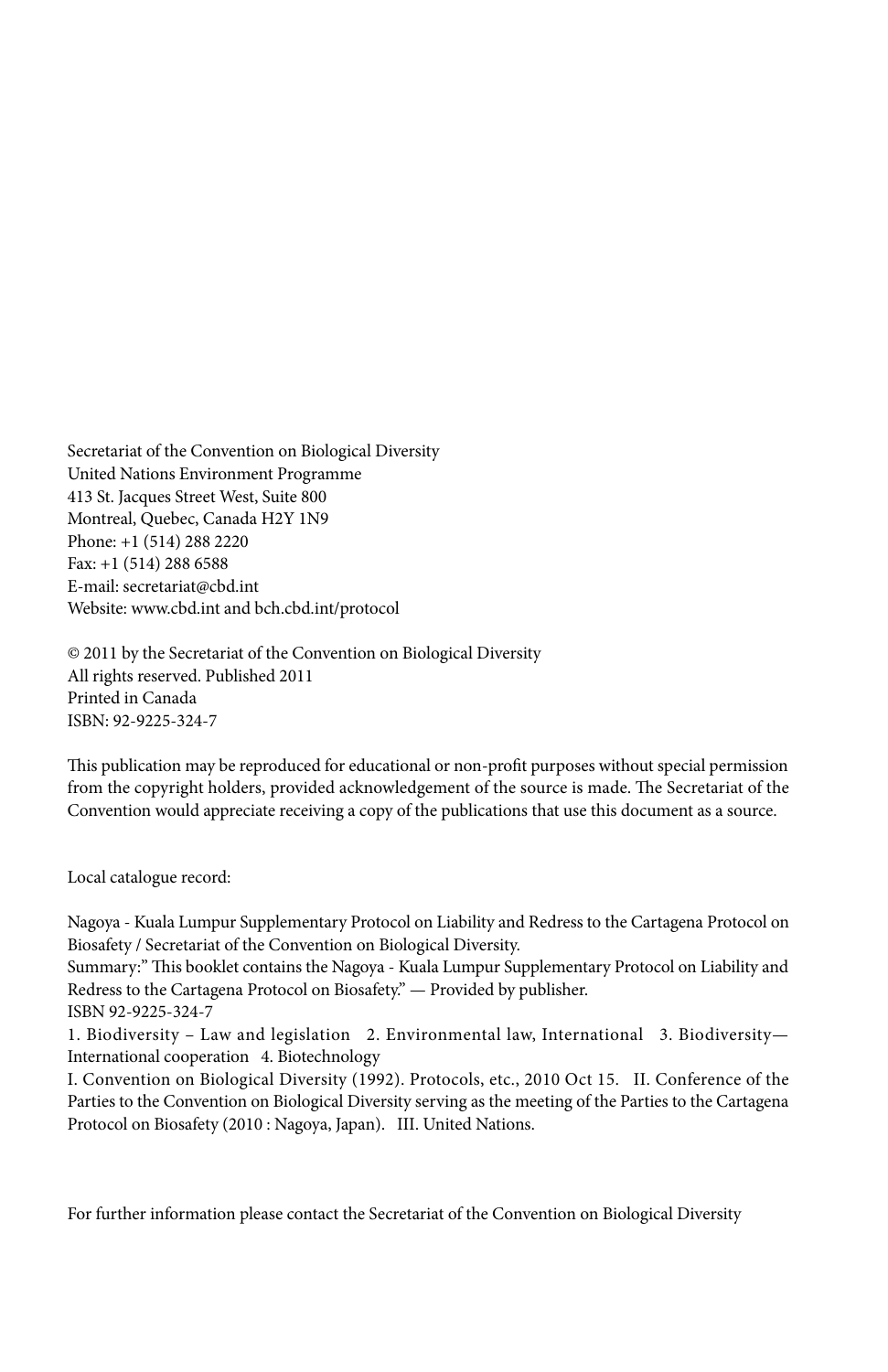Secretariat of the Convention on Biological Diversity United Nations Environment Programme 413 St. Jacques Street West, Suite 800 Montreal, Quebec, Canada H2Y 1N9 Phone: +1 (514) 288 2220 Fax: +1 (514) 288 6588 E-mail: secretariat@cbd.int Website: www.cbd.int and bch.cbd.int/protocol

© 2011 by the Secretariat of the Convention on Biological Diversity All rights reserved. Published 2011 Printed in Canada ISBN: 92-9225-324-7

This publication may be reproduced for educational or non-profit purposes without special permission from the copyright holders, provided acknowledgement of the source is made. The Secretariat of the Convention would appreciate receiving a copy of the publications that use this document as a source.

Local catalogue record:

Nagoya - Kuala Lumpur Supplementary Protocol on Liability and Redress to the Cartagena Protocol on Biosafety / Secretariat of the Convention on Biological Diversity.

Summary:" This booklet contains the Nagoya - Kuala Lumpur Supplementary Protocol on Liability and Redress to the Cartagena Protocol on Biosafety." — Provided by publisher. ISBN 92-9225-324-7

1. Biodiversity – Law and legislation 2. Environmental law, International 3. Biodiversity— International cooperation 4. Biotechnology

I. Convention on Biological Diversity (1992). Protocols, etc., 2010 Oct 15. II. Conference of the Parties to the Convention on Biological Diversity serving as the meeting of the Parties to the Cartagena Protocol on Biosafety (2010 : Nagoya, Japan). III. United Nations.

For further information please contact the Secretariat of the Convention on Biological Diversity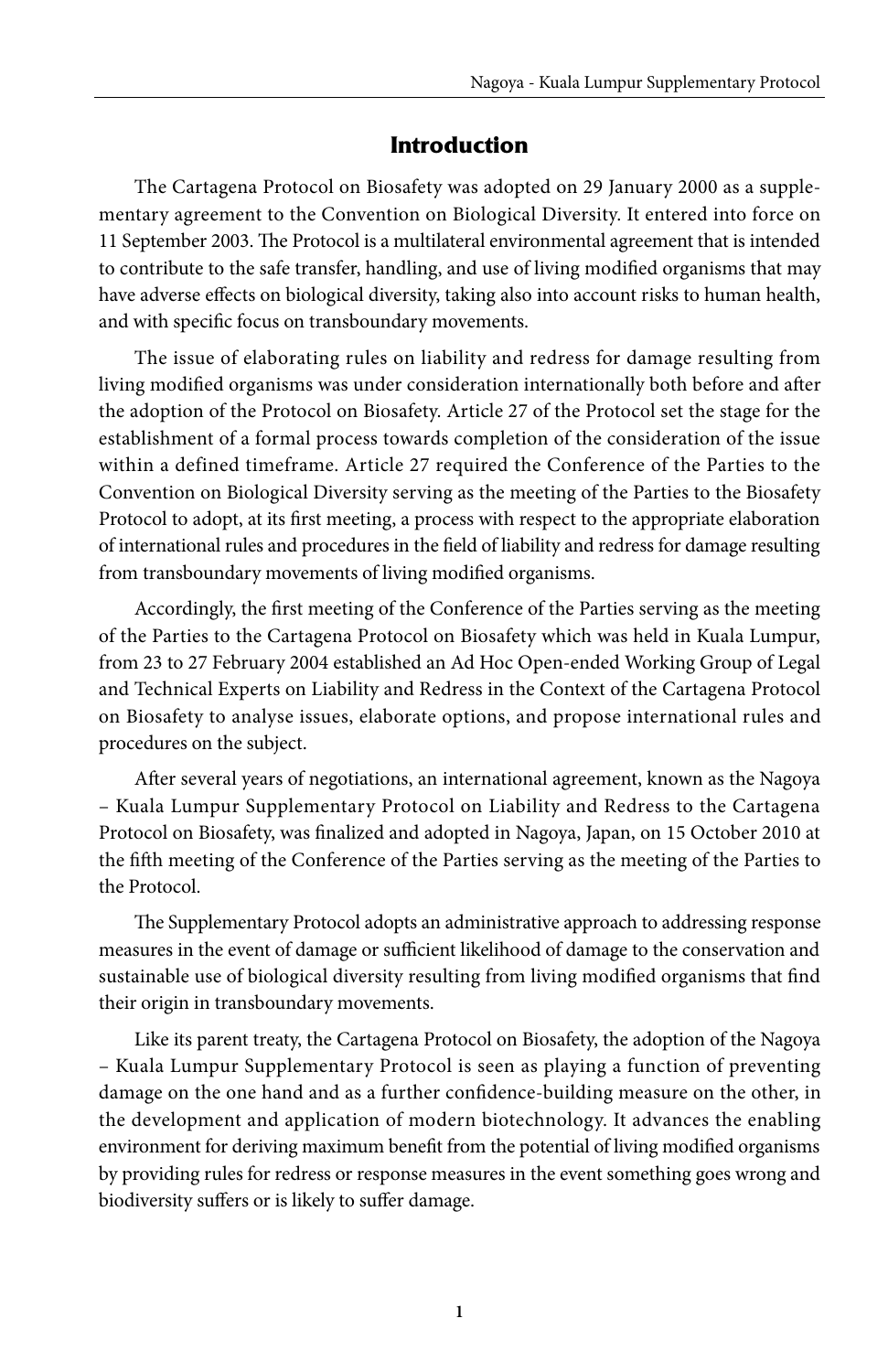#### **Introduction**

The Cartagena Protocol on Biosafety was adopted on 29 January 2000 as a supplementary agreement to the Convention on Biological Diversity. It entered into force on 11 September 2003. The Protocol is a multilateral environmental agreement that is intended to contribute to the safe transfer, handling, and use of living modified organisms that may have adverse effects on biological diversity, taking also into account risks to human health, and with specific focus on transboundary movements.

The issue of elaborating rules on liability and redress for damage resulting from living modified organisms was under consideration internationally both before and after the adoption of the Protocol on Biosafety. Article 27 of the Protocol set the stage for the establishment of a formal process towards completion of the consideration of the issue within a defined timeframe. Article 27 required the Conference of the Parties to the Convention on Biological Diversity serving as the meeting of the Parties to the Biosafety Protocol to adopt, at its first meeting, a process with respect to the appropriate elaboration of international rules and procedures in the field of liability and redress for damage resulting from transboundary movements of living modified organisms.

Accordingly, the first meeting of the Conference of the Parties serving as the meeting of the Parties to the Cartagena Protocol on Biosafety which was held in Kuala Lumpur, from 23 to 27 February 2004 established an Ad Hoc Open-ended Working Group of Legal and Technical Experts on Liability and Redress in the Context of the Cartagena Protocol on Biosafety to analyse issues, elaborate options, and propose international rules and procedures on the subject.

After several years of negotiations, an international agreement, known as the Nagoya – Kuala Lumpur Supplementary Protocol on Liability and Redress to the Cartagena Protocol on Biosafety, was finalized and adopted in Nagoya, Japan, on 15 October 2010 at the fifth meeting of the Conference of the Parties serving as the meeting of the Parties to the Protocol.

The Supplementary Protocol adopts an administrative approach to addressing response measures in the event of damage or sufficient likelihood of damage to the conservation and sustainable use of biological diversity resulting from living modified organisms that find their origin in transboundary movements.

Like its parent treaty, the Cartagena Protocol on Biosafety, the adoption of the Nagoya – Kuala Lumpur Supplementary Protocol is seen as playing a function of preventing damage on the one hand and as a further confidence-building measure on the other, in the development and application of modern biotechnology. It advances the enabling environment for deriving maximum benefit from the potential of living modified organisms by providing rules for redress or response measures in the event something goes wrong and biodiversity suffers or is likely to suffer damage.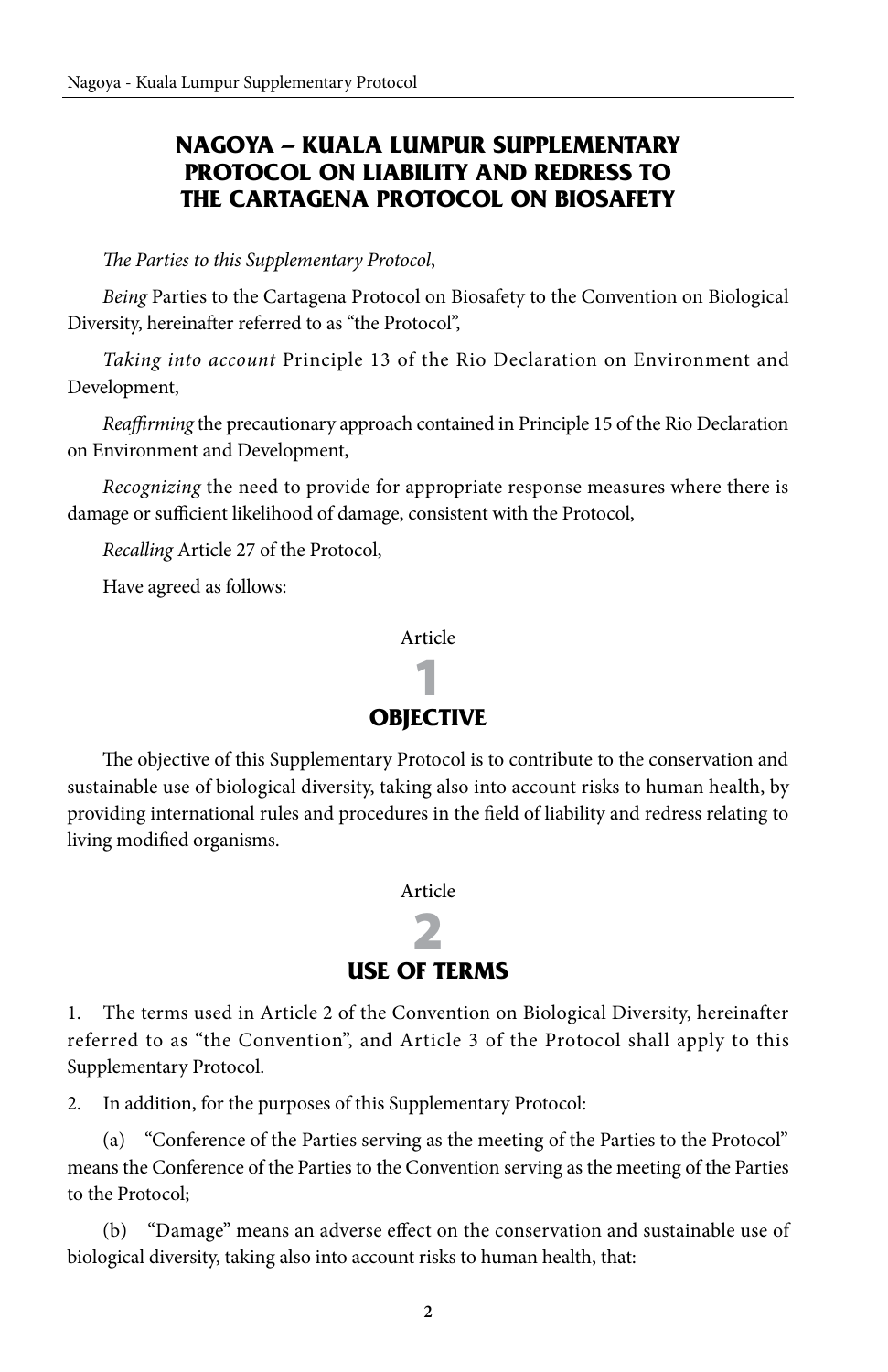#### **Nagoya – Kuala Lumpur SUPPLEMENTARY PROTOCOL ON LIABILITY AND REDRESS TO THE CARTAGENA PROTOCOL ON BIOSAFETY**

*The Parties to this Supplementary Protocol*,

*Being* Parties to the Cartagena Protocol on Biosafety to the Convention on Biological Diversity, hereinafter referred to as "the Protocol",

*Taking into account* Principle 13 of the Rio Declaration on Environment and Development,

*Reaffirming* the precautionary approach contained in Principle 15 of the Rio Declaration on Environment and Development,

*Recognizing* the need to provide for appropriate response measures where there is damage or sufficient likelihood of damage, consistent with the Protocol,

*Recalling* Article 27 of the Protocol,

Have agreed as follows:

Article

# 1 **OBJECTIVE**

The objective of this Supplementary Protocol is to contribute to the conservation and sustainable use of biological diversity, taking also into account risks to human health, by providing international rules and procedures in the field of liability and redress relating to living modified organisms.

> Article 2 **USE OF TERMS**

1. The terms used in Article 2 of the Convention on Biological Diversity, hereinafter referred to as "the Convention", and Article 3 of the Protocol shall apply to this Supplementary Protocol.

2. In addition, for the purposes of this Supplementary Protocol:

(a) "Conference of the Parties serving as the meeting of the Parties to the Protocol" means the Conference of the Parties to the Convention serving as the meeting of the Parties to the Protocol;

(b) "Damage" means an adverse effect on the conservation and sustainable use of biological diversity, taking also into account risks to human health, that: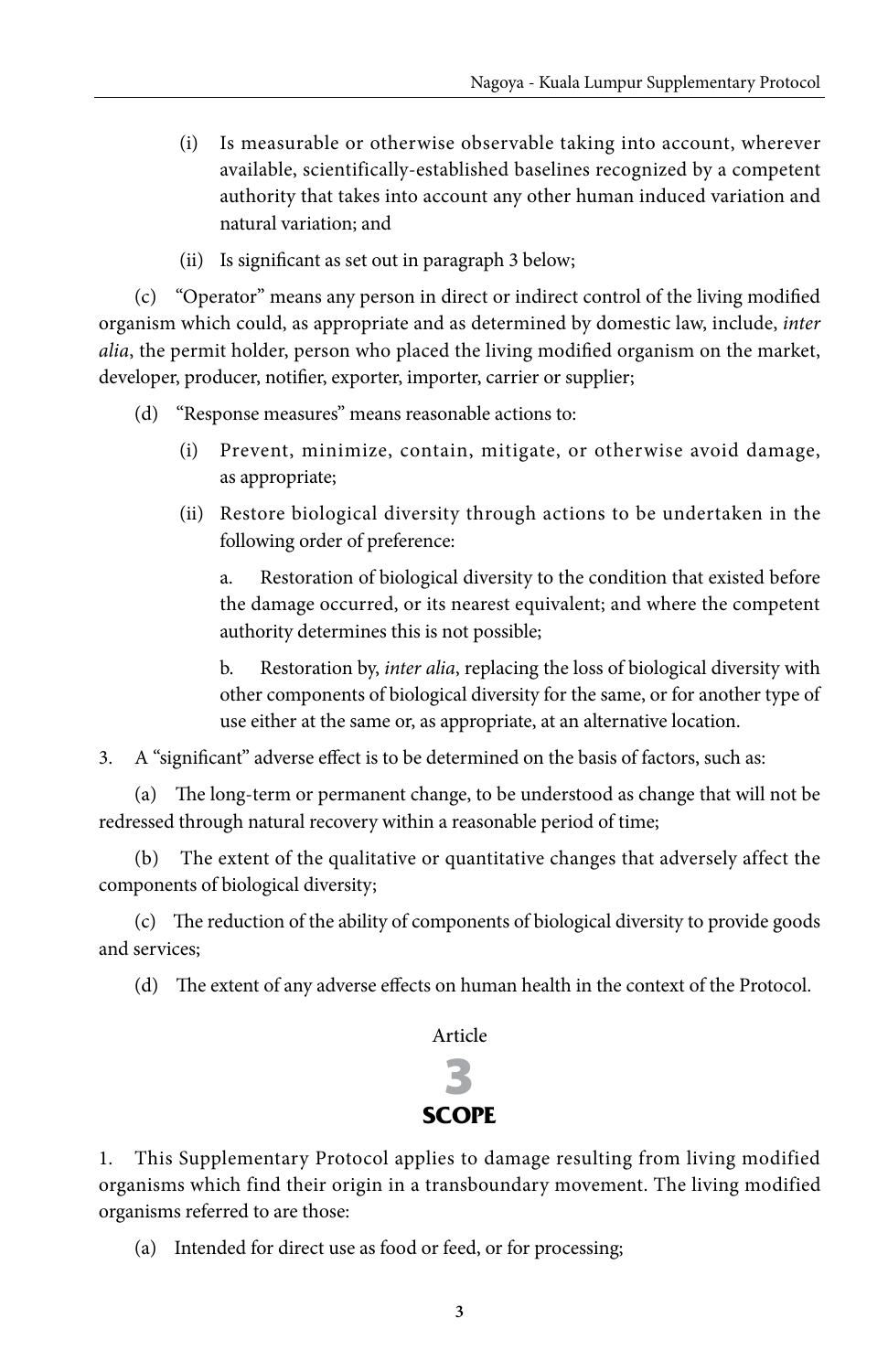- (i) Is measurable or otherwise observable taking into account, wherever available, scientifically-established baselines recognized by a competent authority that takes into account any other human induced variation and natural variation; and
- (ii) Is significant as set out in paragraph 3 below;

(c) "Operator" means any person in direct or indirect control of the living modified organism which could, as appropriate and as determined by domestic law, include, *inter alia*, the permit holder, person who placed the living modified organism on the market, developer, producer, notifier, exporter, importer, carrier or supplier;

- (d) "Response measures" means reasonable actions to:
	- (i) Prevent, minimize, contain, mitigate, or otherwise avoid damage, as appropriate;
	- (ii) Restore biological diversity through actions to be undertaken in the following order of preference:

a. Restoration of biological diversity to the condition that existed before the damage occurred, or its nearest equivalent; and where the competent authority determines this is not possible;

b. Restoration by, *inter alia*, replacing the loss of biological diversity with other components of biological diversity for the same, or for another type of use either at the same or, as appropriate, at an alternative location.

3. A "significant" adverse effect is to be determined on the basis of factors, such as:

(a) The long-term or permanent change, to be understood as change that will not be redressed through natural recovery within a reasonable period of time;

(b) The extent of the qualitative or quantitative changes that adversely affect the components of biological diversity;

(c) The reduction of the ability of components of biological diversity to provide goods and services;

(d) The extent of any adverse effects on human health in the context of the Protocol.



## 3 **SCOPE**

1. This Supplementary Protocol applies to damage resulting from living modified organisms which find their origin in a transboundary movement. The living modified organisms referred to are those:

(a) Intended for direct use as food or feed, or for processing;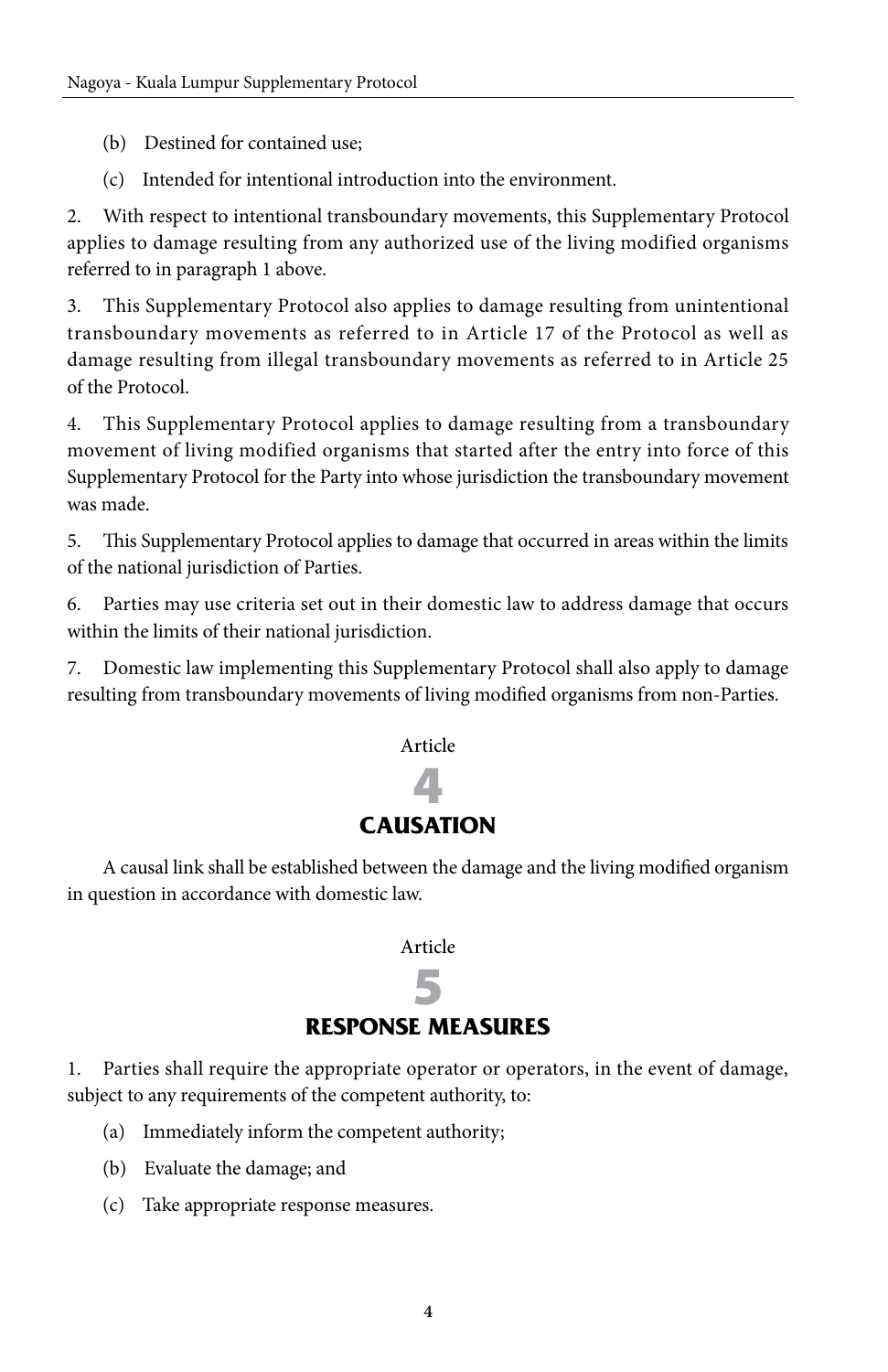(b) Destined for contained use;

(c) Intended for intentional introduction into the environment.

2. With respect to intentional transboundary movements, this Supplementary Protocol applies to damage resulting from any authorized use of the living modified organisms referred to in paragraph 1 above.

3. This Supplementary Protocol also applies to damage resulting from unintentional transboundary movements as referred to in Article 17 of the Protocol as well as damage resulting from illegal transboundary movements as referred to in Article 25 of the Protocol.

4. This Supplementary Protocol applies to damage resulting from a transboundary movement of living modified organisms that started after the entry into force of this Supplementary Protocol for the Party into whose jurisdiction the transboundary movement was made.

5. This Supplementary Protocol applies to damage that occurred in areas within the limits of the national jurisdiction of Parties.

6. Parties may use criteria set out in their domestic law to address damage that occurs within the limits of their national jurisdiction.

7. Domestic law implementing this Supplementary Protocol shall also apply to damage resulting from transboundary movements of living modified organisms from non-Parties.

## Article 4

## **CAUSATION**

A causal link shall be established between the damage and the living modified organism in question in accordance with domestic law.

# 5 **RESPONSE MEASURES**

Article

1. Parties shall require the appropriate operator or operators, in the event of damage, subject to any requirements of the competent authority, to:

- (a) Immediately inform the competent authority;
- (b) Evaluate the damage; and
- (c) Take appropriate response measures.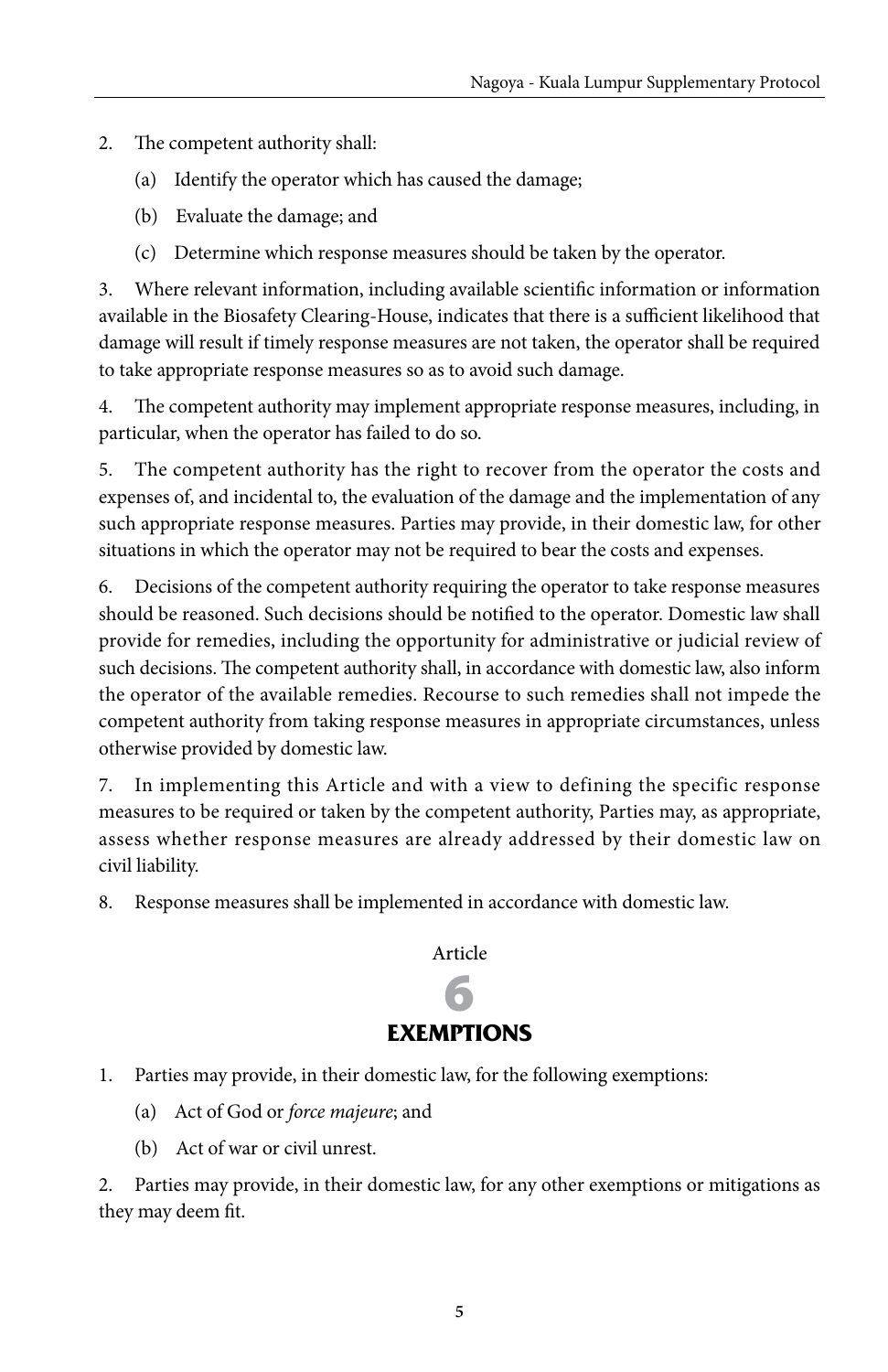2. The competent authority shall:

- (a) Identify the operator which has caused the damage;
- (b) Evaluate the damage; and
- (c) Determine which response measures should be taken by the operator.

3. Where relevant information, including available scientific information or information available in the Biosafety Clearing-House, indicates that there is a sufficient likelihood that damage will result if timely response measures are not taken, the operator shall be required to take appropriate response measures so as to avoid such damage.

4. The competent authority may implement appropriate response measures, including, in particular, when the operator has failed to do so.

5. The competent authority has the right to recover from the operator the costs and expenses of, and incidental to, the evaluation of the damage and the implementation of any such appropriate response measures. Parties may provide, in their domestic law, for other situations in which the operator may not be required to bear the costs and expenses.

6. Decisions of the competent authority requiring the operator to take response measures should be reasoned. Such decisions should be notified to the operator. Domestic law shall provide for remedies, including the opportunity for administrative or judicial review of such decisions. The competent authority shall, in accordance with domestic law, also inform the operator of the available remedies. Recourse to such remedies shall not impede the competent authority from taking response measures in appropriate circumstances, unless otherwise provided by domestic law.

7. In implementing this Article and with a view to defining the specific response measures to be required or taken by the competent authority, Parties may, as appropriate, assess whether response measures are already addressed by their domestic law on civil liability.

8. Response measures shall be implemented in accordance with domestic law.

## Article 6 **EXEMPTIONS**

- 1. Parties may provide, in their domestic law, for the following exemptions:
	- (a) Act of God or *force majeure*; and
	- (b) Act of war or civil unrest.

2. Parties may provide, in their domestic law, for any other exemptions or mitigations as they may deem fit.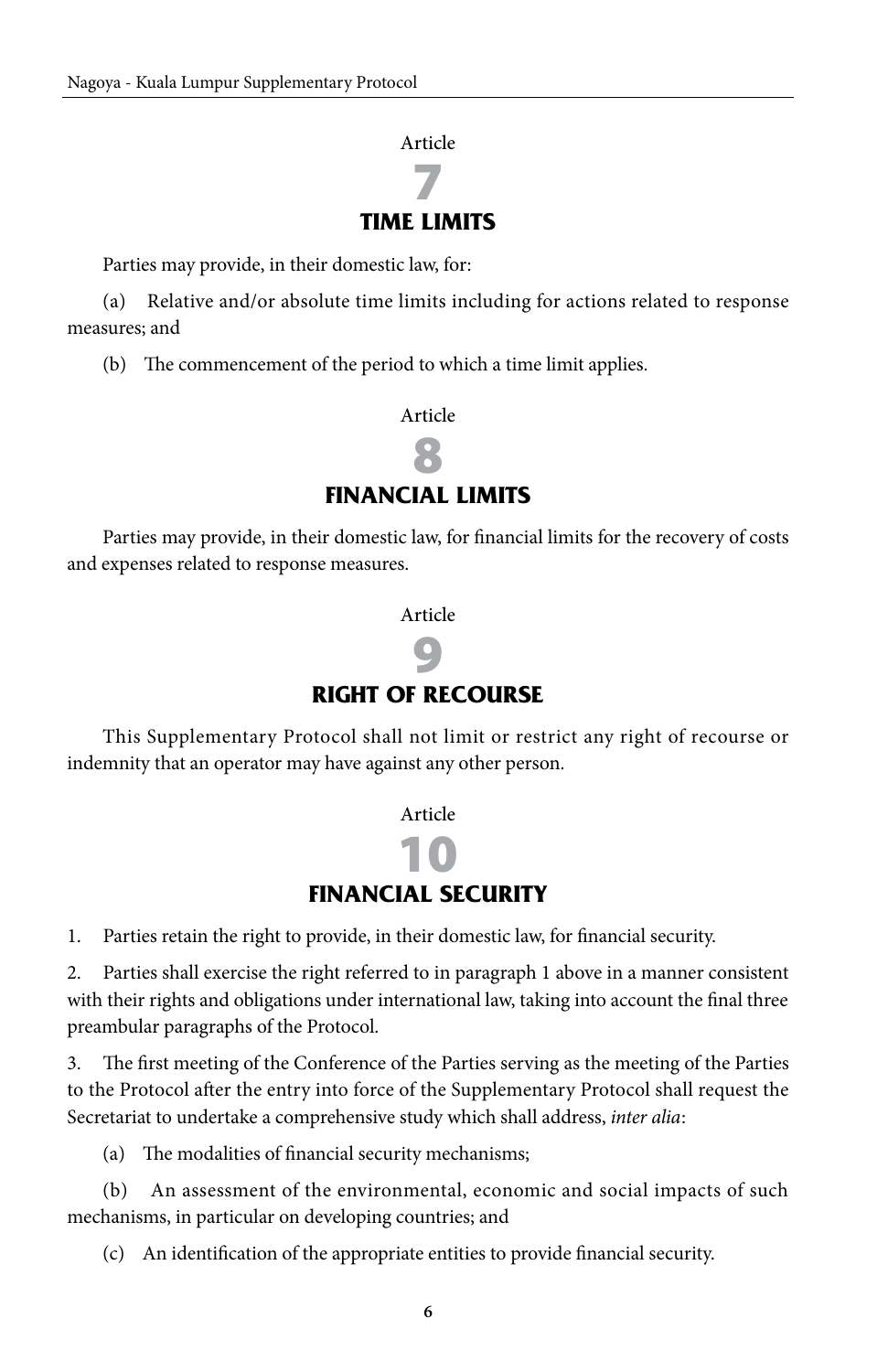# 7 **TIME LIMITS**

Parties may provide, in their domestic law, for:

(a) Relative and/or absolute time limits including for actions related to response measures; and

(b) The commencement of the period to which a time limit applies.

Article



#### **FINANCIAL LIMITS**

Parties may provide, in their domestic law, for financial limits for the recovery of costs and expenses related to response measures.

Article

# 9 **RIGHT OF RECOURSE**

This Supplementary Protocol shall not limit or restrict any right of recourse or indemnity that an operator may have against any other person.

Article

# 10 **FINANCIAL SECURITY**

1. Parties retain the right to provide, in their domestic law, for financial security.

2. Parties shall exercise the right referred to in paragraph 1 above in a manner consistent with their rights and obligations under international law, taking into account the final three preambular paragraphs of the Protocol.

3. The first meeting of the Conference of the Parties serving as the meeting of the Parties to the Protocol after the entry into force of the Supplementary Protocol shall request the Secretariat to undertake a comprehensive study which shall address, *inter alia*:

(a) The modalities of financial security mechanisms;

(b) An assessment of the environmental, economic and social impacts of such mechanisms, in particular on developing countries; and

(c) An identification of the appropriate entities to provide financial security.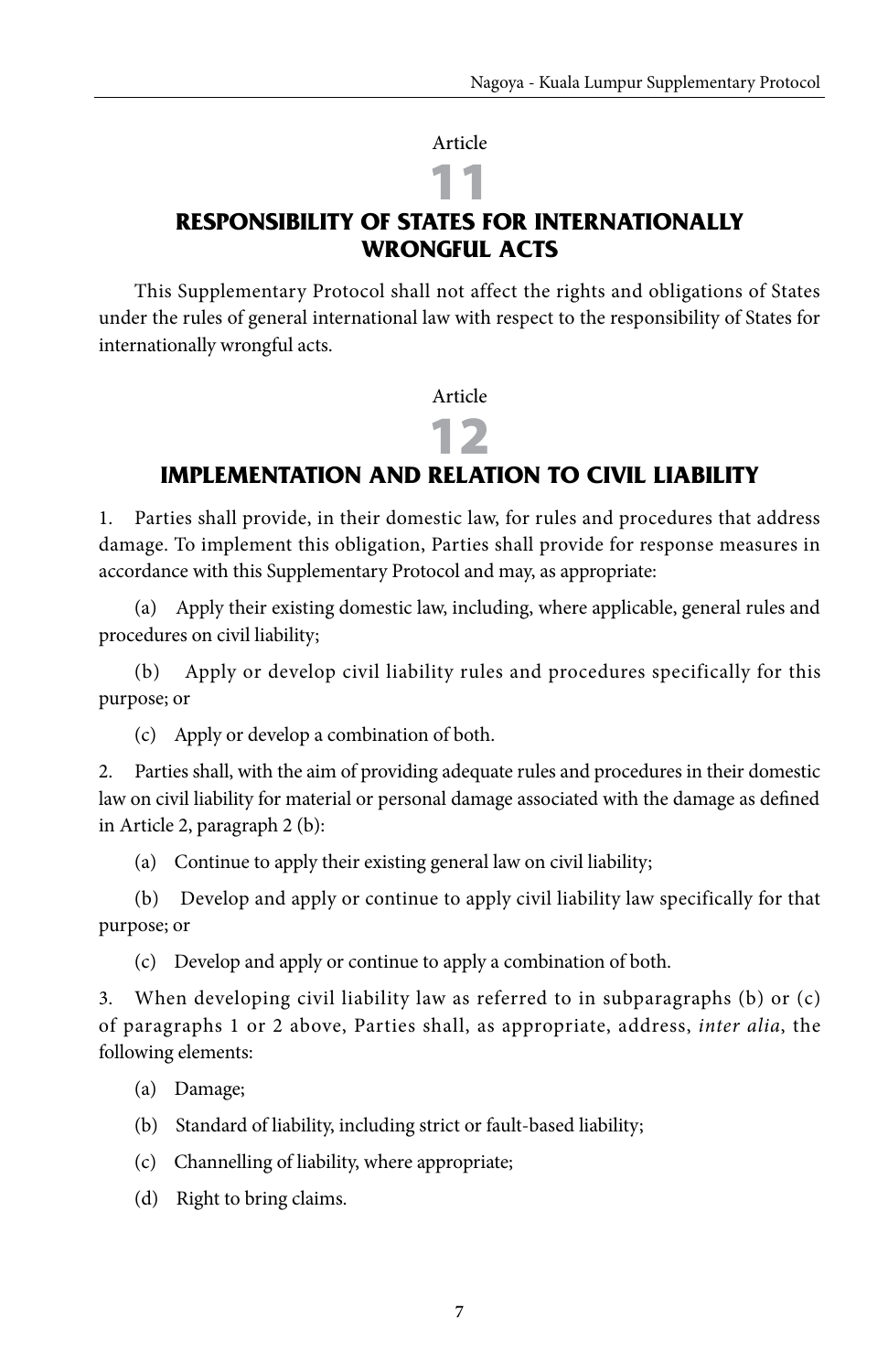# 11

### **RESPONSIBILITY OF STATES FOR INTERNATIONALLY WRONGFUL ACTS**

This Supplementary Protocol shall not affect the rights and obligations of States under the rules of general international law with respect to the responsibility of States for internationally wrongful acts.

> Article 12

## **IMPLEMENTATION AND RELATION TO CIVIL LIABILITY**

1. Parties shall provide, in their domestic law, for rules and procedures that address damage. To implement this obligation, Parties shall provide for response measures in accordance with this Supplementary Protocol and may, as appropriate:

(a) Apply their existing domestic law, including, where applicable, general rules and procedures on civil liability;

(b) Apply or develop civil liability rules and procedures specifically for this purpose; or

(c) Apply or develop a combination of both.

2. Parties shall, with the aim of providing adequate rules and procedures in their domestic law on civil liability for material or personal damage associated with the damage as defined in Article 2, paragraph 2 (b):

(a) Continue to apply their existing general law on civil liability;

(b) Develop and apply or continue to apply civil liability law specifically for that purpose; or

(c) Develop and apply or continue to apply a combination of both.

3. When developing civil liability law as referred to in subparagraphs  $(b)$  or  $(c)$ of paragraphs 1 or 2 above, Parties shall, as appropriate, address, *inter alia*, the following elements:

- (a) Damage;
- (b) Standard of liability, including strict or fault-based liability;
- (c) Channelling of liability, where appropriate;
- (d) Right to bring claims.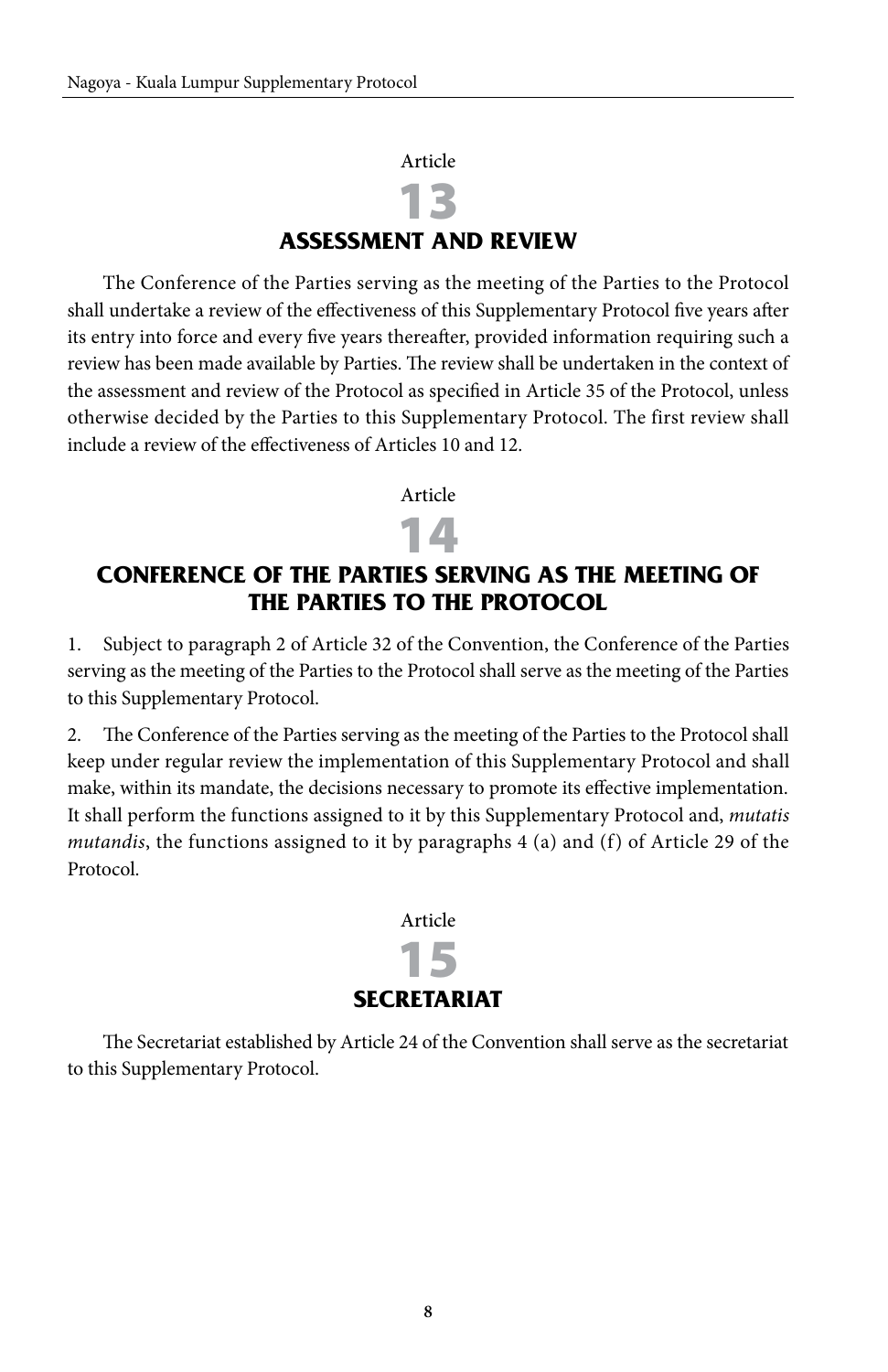13

#### **ASSESSMENT AND REVIEW**

The Conference of the Parties serving as the meeting of the Parties to the Protocol shall undertake a review of the effectiveness of this Supplementary Protocol five years after its entry into force and every five years thereafter, provided information requiring such a review has been made available by Parties. The review shall be undertaken in the context of the assessment and review of the Protocol as specified in Article 35 of the Protocol, unless otherwise decided by the Parties to this Supplementary Protocol. The first review shall include a review of the effectiveness of Articles 10 and 12.

Article

# 14

#### **CONFERENCE OF THE PARTIES SERVING AS THE MEETING OF THE PARTIES TO THE PROTOCOL**

1. Subject to paragraph 2 of Article 32 of the Convention, the Conference of the Parties serving as the meeting of the Parties to the Protocol shall serve as the meeting of the Parties to this Supplementary Protocol.

2. The Conference of the Parties serving as the meeting of the Parties to the Protocol shall keep under regular review the implementation of this Supplementary Protocol and shall make, within its mandate, the decisions necessary to promote its effective implementation. It shall perform the functions assigned to it by this Supplementary Protocol and, *mutatis mutandis*, the functions assigned to it by paragraphs 4 (a) and (f) of Article 29 of the Protocol.



The Secretariat established by Article 24 of the Convention shall serve as the secretariat to this Supplementary Protocol.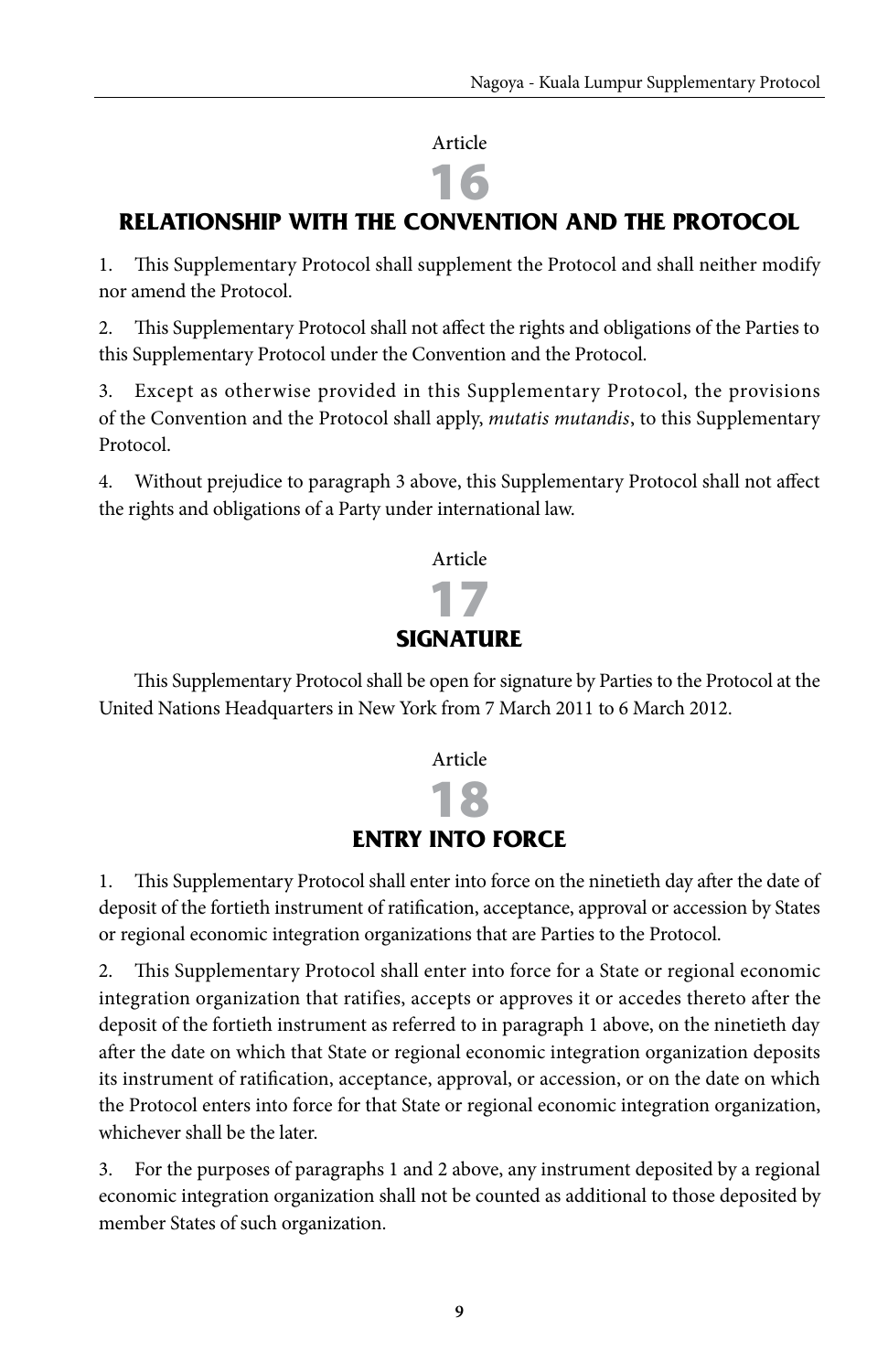# 16

## **RELATIONSHIP WITH THE CONVENTION AND THE PROTOCOL**

1. This Supplementary Protocol shall supplement the Protocol and shall neither modify nor amend the Protocol.

2. This Supplementary Protocol shall not affect the rights and obligations of the Parties to this Supplementary Protocol under the Convention and the Protocol.

Except as otherwise provided in this Supplementary Protocol, the provisions of the Convention and the Protocol shall apply, *mutatis mutandis*, to this Supplementary Protocol.

4. Without prejudice to paragraph 3 above, this Supplementary Protocol shall not affect the rights and obligations of a Party under international law.

# Article 17 **SIGNATURE**

This Supplementary Protocol shall be open for signature by Parties to the Protocol at the United Nations Headquarters in New York from 7 March 2011 to 6 March 2012.

> Article 18

## **ENTRY INTO FORCE**

This Supplementary Protocol shall enter into force on the ninetieth day after the date of deposit of the fortieth instrument of ratification, acceptance, approval or accession by States or regional economic integration organizations that are Parties to the Protocol.

2. This Supplementary Protocol shall enter into force for a State or regional economic integration organization that ratifies, accepts or approves it or accedes thereto after the deposit of the fortieth instrument as referred to in paragraph 1 above, on the ninetieth day after the date on which that State or regional economic integration organization deposits its instrument of ratification, acceptance, approval, or accession, or on the date on which the Protocol enters into force for that State or regional economic integration organization, whichever shall be the later.

3. For the purposes of paragraphs 1 and 2 above, any instrument deposited by a regional economic integration organization shall not be counted as additional to those deposited by member States of such organization.